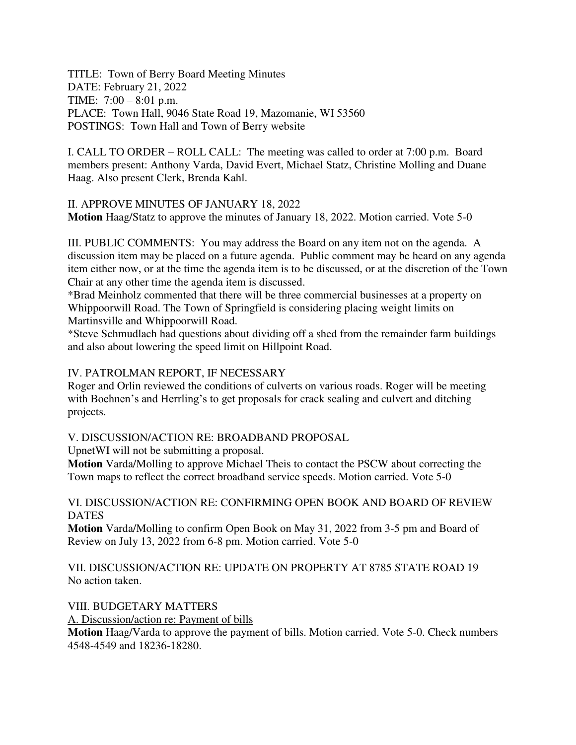TITLE: Town of Berry Board Meeting Minutes DATE: February 21, 2022 TIME: 7:00 – 8:01 p.m. PLACE: Town Hall, 9046 State Road 19, Mazomanie, WI 53560 POSTINGS: Town Hall and Town of Berry website

I. CALL TO ORDER – ROLL CALL: The meeting was called to order at 7:00 p.m. Board members present: Anthony Varda, David Evert, Michael Statz, Christine Molling and Duane Haag. Also present Clerk, Brenda Kahl.

II. APPROVE MINUTES OF JANUARY 18, 2022 **Motion** Haag/Statz to approve the minutes of January 18, 2022. Motion carried. Vote 5-0

III. PUBLIC COMMENTS: You may address the Board on any item not on the agenda. A discussion item may be placed on a future agenda. Public comment may be heard on any agenda item either now, or at the time the agenda item is to be discussed, or at the discretion of the Town Chair at any other time the agenda item is discussed.

\*Brad Meinholz commented that there will be three commercial businesses at a property on Whippoorwill Road. The Town of Springfield is considering placing weight limits on Martinsville and Whippoorwill Road.

\*Steve Schmudlach had questions about dividing off a shed from the remainder farm buildings and also about lowering the speed limit on Hillpoint Road.

# IV. PATROLMAN REPORT, IF NECESSARY

Roger and Orlin reviewed the conditions of culverts on various roads. Roger will be meeting with Boehnen's and Herrling's to get proposals for crack sealing and culvert and ditching projects.

### V. DISCUSSION/ACTION RE: BROADBAND PROPOSAL

UpnetWI will not be submitting a proposal.

**Motion** Varda/Molling to approve Michael Theis to contact the PSCW about correcting the Town maps to reflect the correct broadband service speeds. Motion carried. Vote 5-0

### VI. DISCUSSION/ACTION RE: CONFIRMING OPEN BOOK AND BOARD OF REVIEW DATES

**Motion** Varda/Molling to confirm Open Book on May 31, 2022 from 3-5 pm and Board of Review on July 13, 2022 from 6-8 pm. Motion carried. Vote 5-0

VII. DISCUSSION/ACTION RE: UPDATE ON PROPERTY AT 8785 STATE ROAD 19 No action taken.

VIII. BUDGETARY MATTERS

A. Discussion/action re: Payment of bills

**Motion** Haag/Varda to approve the payment of bills. Motion carried. Vote 5-0. Check numbers 4548-4549 and 18236-18280.